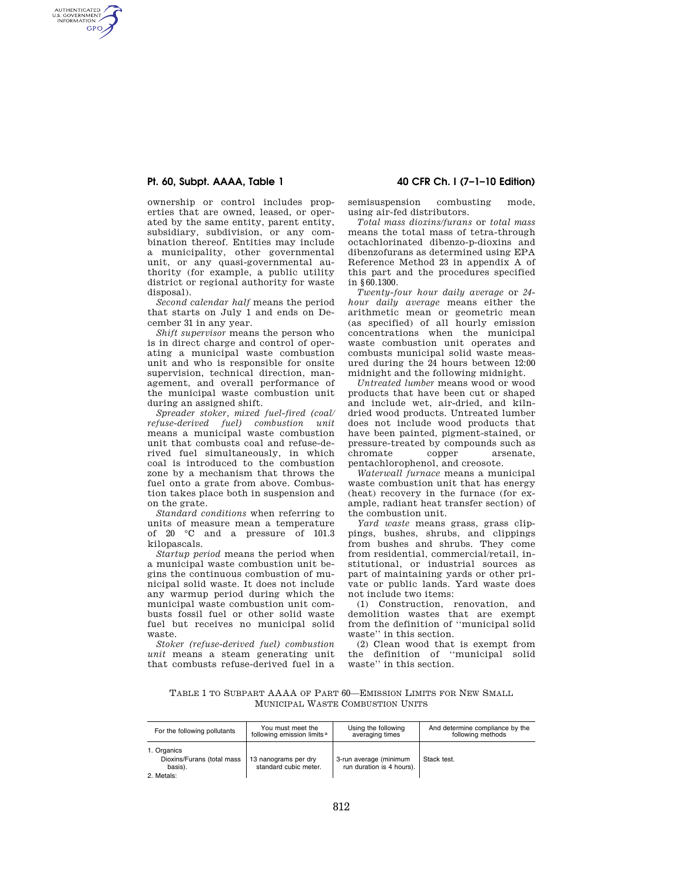## **Pt. 60, Subpt. AAAA, Table 1 40 CFR Ch. I (7–1–10 Edition)**

AUTHENTICATED<br>U.S. GOVERNMENT<br>INFORMATION GPO

> ownership or control includes properties that are owned, leased, or operated by the same entity, parent entity, subsidiary, subdivision, or any combination thereof. Entities may include a municipality, other governmental unit, or any quasi-governmental authority (for example, a public utility district or regional authority for waste disposal).

> *Second calendar half* means the period that starts on July 1 and ends on December 31 in any year.

> *Shift supervisor* means the person who is in direct charge and control of operating a municipal waste combustion unit and who is responsible for onsite supervision, technical direction, management, and overall performance of the municipal waste combustion unit during an assigned shift.

> *Spreader stoker, mixed fuel-fired (coal/ refuse-derived fuel) combustion unit*  means a municipal waste combustion unit that combusts coal and refuse-derived fuel simultaneously, in which coal is introduced to the combustion zone by a mechanism that throws the fuel onto a grate from above. Combustion takes place both in suspension and on the grate.

> *Standard conditions* when referring to units of measure mean a temperature of 20 °C and a pressure of 101.3 kilopascals.

> *Startup period* means the period when a municipal waste combustion unit begins the continuous combustion of municipal solid waste. It does not include any warmup period during which the municipal waste combustion unit combusts fossil fuel or other solid waste fuel but receives no municipal solid waste.

*Stoker (refuse-derived fuel) combustion unit* means a steam generating unit that combusts refuse-derived fuel in a

semisuspension combusting mode, using air-fed distributors.

*Total mass dioxins/furans* or *total mass*  means the total mass of tetra-through octachlorinated dibenzo-p-dioxins and dibenzofurans as determined using EPA Reference Method 23 in appendix A of this part and the procedures specified in §60.1300.

*Twenty-four hour daily average* or *24 hour daily average* means either the arithmetic mean or geometric mean (as specified) of all hourly emission concentrations when the municipal waste combustion unit operates and combusts municipal solid waste measured during the 24 hours between 12:00 midnight and the following midnight.

*Untreated lumber* means wood or wood products that have been cut or shaped and include wet, air-dried, and kilndried wood products. Untreated lumber does not include wood products that have been painted, pigment-stained, or pressure-treated by compounds such as<br>chromate copper arsenate. chromate copper arsenate, pentachlorophenol, and creosote.

*Waterwall furnace* means a municipal waste combustion unit that has energy (heat) recovery in the furnace (for example, radiant heat transfer section) of the combustion unit.

*Yard waste* means grass, grass clippings, bushes, shrubs, and clippings from bushes and shrubs. They come from residential, commercial/retail, institutional, or industrial sources as part of maintaining yards or other private or public lands. Yard waste does not include two items:

(1) Construction, renovation, and demolition wastes that are exempt from the definition of ''municipal solid waste'' in this section.

(2) Clean wood that is exempt from the definition of ''municipal solid waste'' in this section.

TABLE 1 TO SUBPART AAAA OF PART 60—EMISSION LIMITS FOR NEW SMALL MUNICIPAL WASTE COMBUSTION UNITS

| For the following pollutants                                       | You must meet the                             | Using the following                                 | And determine compliance by the |
|--------------------------------------------------------------------|-----------------------------------------------|-----------------------------------------------------|---------------------------------|
|                                                                    | following emission limits <sup>a</sup>        | averaging times                                     | following methods               |
| 1. Organics<br>Dioxins/Furans (total mass<br>basis).<br>2. Metals: | 13 nanograms per dry<br>standard cubic meter. | 3-run average (minimum<br>run duration is 4 hours). | Stack test.                     |